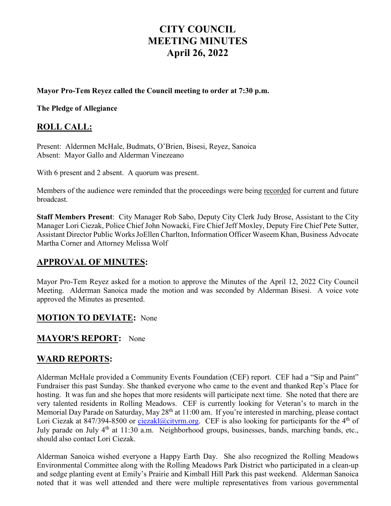# **CITY COUNCIL MEETING MINUTES April 26, 2022**

#### **Mayor Pro-Tem Reyez called the Council meeting to order at 7:30 p.m.**

#### **The Pledge of Allegiance**

#### **ROLL CALL:**

Present: Aldermen McHale, Budmats, O'Brien, Bisesi, Reyez, Sanoica Absent: Mayor Gallo and Alderman Vinezeano

With 6 present and 2 absent. A quorum was present.

Members of the audience were reminded that the proceedings were being recorded for current and future broadcast.

**Staff Members Present**: City Manager Rob Sabo, Deputy City Clerk Judy Brose, Assistant to the City Manager Lori Ciezak, Police Chief John Nowacki, Fire Chief Jeff Moxley, Deputy Fire Chief Pete Sutter, Assistant Director Public Works JoEllen Charlton, Information Officer Waseem Khan, Business Advocate Martha Corner and Attorney Melissa Wolf

#### **APPROVAL OF MINUTES:**

Mayor Pro-Tem Reyez asked for a motion to approve the Minutes of the April 12, 2022 City Council Meeting. Alderman Sanoica made the motion and was seconded by Alderman Bisesi. A voice vote approved the Minutes as presented.

#### **MOTION TO DEVIATE:** None

#### **MAYOR'S REPORT:** None

#### **WARD REPORTS:**

Alderman McHale provided a Community Events Foundation (CEF) report. CEF had a "Sip and Paint" Fundraiser this past Sunday. She thanked everyone who came to the event and thanked Rep's Place for hosting. It was fun and she hopes that more residents will participate next time. She noted that there are very talented residents in Rolling Meadows. CEF is currently looking for Veteran's to march in the Memorial Day Parade on Saturday, May 28<sup>th</sup> at 11:00 am. If you're interested in marching, please contact Lori Ciezak at 847/394-8500 or [ciezakl@cityrm.org.](mailto:ciezakl@cityrm.org) CEF is also looking for participants for the 4<sup>th</sup> of July parade on July 4<sup>th</sup> at 11:30 a.m. Neighborhood groups, businesses, bands, marching bands, etc., should also contact Lori Ciezak.

Alderman Sanoica wished everyone a Happy Earth Day. She also recognized the Rolling Meadows Environmental Committee along with the Rolling Meadows Park District who participated in a clean-up and sedge planting event at Emily's Prairie and Kimball Hill Park this past weekend. Alderman Sanoica noted that it was well attended and there were multiple representatives from various governmental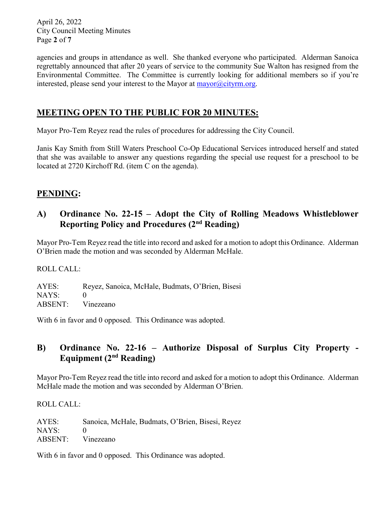April 26, 2022 City Council Meeting Minutes Page **2** of **7**

agencies and groups in attendance as well. She thanked everyone who participated. Alderman Sanoica regrettably announced that after 20 years of service to the community Sue Walton has resigned from the Environmental Committee. The Committee is currently looking for additional members so if you're interested, please send your interest to the Mayor at  $\frac{m}{\text{approx}}$  (eityrm.org.

# **MEETING OPEN TO THE PUBLIC FOR 20 MINUTES:**

Mayor Pro-Tem Reyez read the rules of procedures for addressing the City Council.

Janis Kay Smith from Still Waters Preschool Co-Op Educational Services introduced herself and stated that she was available to answer any questions regarding the special use request for a preschool to be located at 2720 Kirchoff Rd. (item C on the agenda).

# **PENDING:**

# **A) Ordinance No. 22-15 – Adopt the City of Rolling Meadows Whistleblower Reporting Policy and Procedures (2nd Reading)**

Mayor Pro-Tem Reyez read the title into record and asked for a motion to adopt this Ordinance. Alderman O'Brien made the motion and was seconded by Alderman McHale.

ROLL CALL:

AYES: Reyez, Sanoica, McHale, Budmats, O'Brien, Bisesi NAYS: 0 ABSENT: Vinezeano

With 6 in favor and 0 opposed. This Ordinance was adopted.

# **B) Ordinance No. 22-16 – Authorize Disposal of Surplus City Property - Equipment (2nd Reading)**

Mayor Pro-Tem Reyez read the title into record and asked for a motion to adopt this Ordinance. Alderman McHale made the motion and was seconded by Alderman O'Brien.

ROLL CALL:

AYES: Sanoica, McHale, Budmats, O'Brien, Bisesi, Reyez NAYS: 0 ABSENT: Vinezeano

With 6 in favor and 0 opposed. This Ordinance was adopted.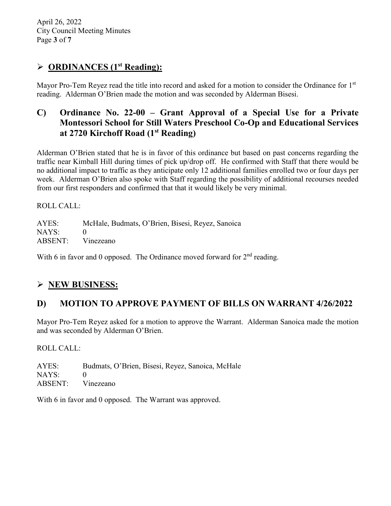April 26, 2022 City Council Meeting Minutes Page **3** of **7**

# **ORDINANCES (1st Reading):**

Mayor Pro-Tem Reyez read the title into record and asked for a motion to consider the Ordinance for 1<sup>st</sup> reading. Alderman O'Brien made the motion and was seconded by Alderman Bisesi.

# **C) Ordinance No. 22-00 – Grant Approval of a Special Use for a Private Montessori School for Still Waters Preschool Co-Op and Educational Services at 2720 Kirchoff Road (1st Reading)**

Alderman O'Brien stated that he is in favor of this ordinance but based on past concerns regarding the traffic near Kimball Hill during times of pick up/drop off. He confirmed with Staff that there would be no additional impact to traffic as they anticipate only 12 additional families enrolled two or four days per week. Alderman O'Brien also spoke with Staff regarding the possibility of additional recourses needed from our first responders and confirmed that that it would likely be very minimal.

ROLL CALL:

AYES: McHale, Budmats, O'Brien, Bisesi, Reyez, Sanoica NAYS: 0 ABSENT: Vinezeano

With 6 in favor and 0 opposed. The Ordinance moved forward for  $2<sup>nd</sup>$  reading.

# **NEW BUSINESS:**

### **D) MOTION TO APPROVE PAYMENT OF BILLS ON WARRANT 4/26/2022**

Mayor Pro-Tem Reyez asked for a motion to approve the Warrant. Alderman Sanoica made the motion and was seconded by Alderman O'Brien.

ROLL CALL:

AYES: Budmats, O'Brien, Bisesi, Reyez, Sanoica, McHale  $NAYS: 0$ ABSENT: Vinezeano

With 6 in favor and 0 opposed. The Warrant was approved.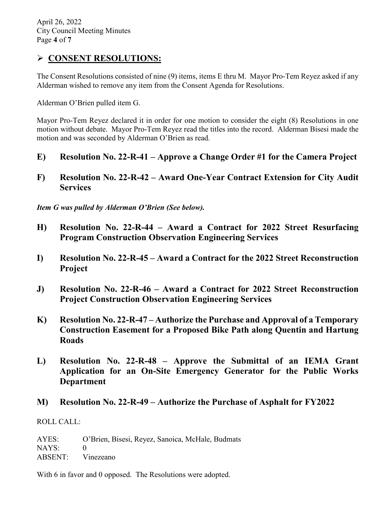# **CONSENT RESOLUTIONS:**

The Consent Resolutions consisted of nine (9) items, items E thru M. Mayor Pro-Tem Reyez asked if any Alderman wished to remove any item from the Consent Agenda for Resolutions.

Alderman O'Brien pulled item G.

Mayor Pro-Tem Reyez declared it in order for one motion to consider the eight (8) Resolutions in one motion without debate. Mayor Pro-Tem Reyez read the titles into the record. Alderman Bisesi made the motion and was seconded by Alderman O'Brien as read.

- **E) Resolution No. 22-R-41 – Approve a Change Order #1 for the Camera Project**
- **F) Resolution No. 22-R-42 – Award One-Year Contract Extension for City Audit Services**

*Item G was pulled by Alderman O'Brien (See below).*

- **H) Resolution No. 22-R-44 – Award a Contract for 2022 Street Resurfacing Program Construction Observation Engineering Services**
- **I) Resolution No. 22-R-45 – Award a Contract for the 2022 Street Reconstruction Project**
- **J) Resolution No. 22-R-46 – Award a Contract for 2022 Street Reconstruction Project Construction Observation Engineering Services**
- **K) Resolution No. 22-R-47 – Authorize the Purchase and Approval of a Temporary Construction Easement for a Proposed Bike Path along Quentin and Hartung Roads**
- **L) Resolution No. 22-R-48 – Approve the Submittal of an IEMA Grant Application for an On-Site Emergency Generator for the Public Works Department**
- **M) Resolution No. 22-R-49 – Authorize the Purchase of Asphalt for FY2022**

ROLL CALL:

AYES: O'Brien, Bisesi, Reyez, Sanoica, McHale, Budmats NAYS: 0 ABSENT: Vinezeano

With 6 in favor and 0 opposed. The Resolutions were adopted.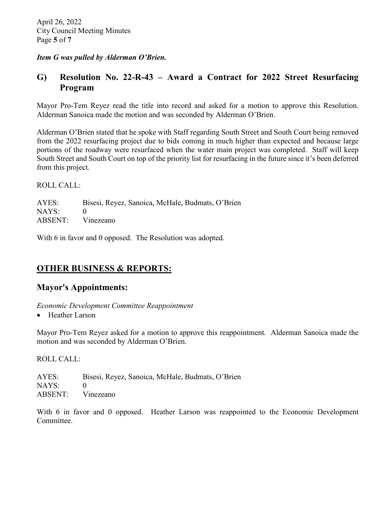#### *Item G was pulled by Alderman O'Brien.*

### **G) Resolution No. 22-R-43 – Award a Contract for 2022 Street Resurfacing Program**

Mayor Pro-Tem Reyez read the title into record and asked for a motion to approve this Resolution. Alderman Sanoica made the motion and was seconded by Alderman O'Brien.

Alderman O'Brien stated that he spoke with Staff regarding South Street and South Court being removed from the 2022 resurfacing project due to bids coming in much higher than expected and because large portions of the roadway were resurfaced when the water main project was completed. Staff will keep South Street and South Court on top of the priority list for resurfacing in the future since it's been deferred from this project.

#### ROLL CALL:

AYES: Bisesi, Reyez, Sanoica, McHale, Budmats, O'Brien NAYS: 0 ABSENT: Vinezeano

With 6 in favor and 0 opposed. The Resolution was adopted.

# **OTHER BUSINESS & REPORTS:**

### **Mayor's Appointments:**

*Economic Development Committee Reappointment* 

• Heather Larson

Mayor Pro-Tem Reyez asked for a motion to approve this reappointment. Alderman Sanoica made the motion and was seconded by Alderman O'Brien.

ROLL CALL:

AYES: Bisesi, Reyez, Sanoica, McHale, Budmats, O'Brien NAYS: 0 ABSENT: Vinezeano

With 6 in favor and 0 opposed. Heather Larson was reappointed to the Economic Development Committee.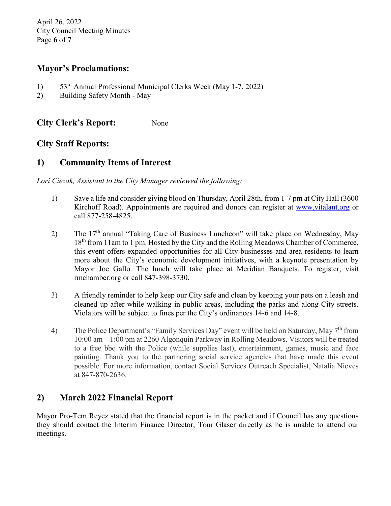April 26, 2022 City Council Meeting Minutes Page **6** of **7**

#### **Mayor's Proclamations:**

- 1) 53rd Annual Professional Municipal Clerks Week (May 1-7, 2022)
- 2) Building Safety Month May

**City Clerk's Report:** None

### **City Staff Reports:**

### **1) Community Items of Interest**

*Lori Ciezak, Assistant to the City Manager reviewed the following:* 

- 1) Save a life and consider giving blood on Thursday, April 28th, from 1-7 pm at City Hall (3600 Kirchoff Road). Appointments are required and donors can register at [www.vitalant.org](http://www.vitalant.org/) or call 877-258-4825.
- 2) The 17<sup>th</sup> annual "Taking Care of Business Luncheon" will take place on Wednesday, May 18<sup>th</sup> from 11am to 1 pm. Hosted by the City and the Rolling Meadows Chamber of Commerce, this event offers expanded opportunities for all City businesses and area residents to learn more about the City's economic development initiatives, with a keynote presentation by Mayor Joe Gallo. The lunch will take place at Meridian Banquets. To register, visit rmchamber.org or call 847-398-3730.
- 3) A friendly reminder to help keep our City safe and clean by keeping your pets on a leash and cleaned up after while walking in public areas, including the parks and along City streets. Violators will be subject to fines per the City's ordinances 14-6 and 14-8.
- 4) The Police Department's "Family Services Day" event will be held on Saturday, May 7<sup>th</sup> from 10:00 am – 1:00 pm at 2260 Algonquin Parkway in Rolling Meadows. Visitors will be treated to a free bbq with the Police (while supplies last), entertainment, games, music and face painting. Thank you to the partnering social service agencies that have made this event possible. For more information, contact Social Services Outreach Specialist, Natalia Nieves at 847-870-2636.

# **2) March 2022 Financial Report**

Mayor Pro-Tem Reyez stated that the financial report is in the packet and if Council has any questions they should contact the Interim Finance Director, Tom Glaser directly as he is unable to attend our meetings.